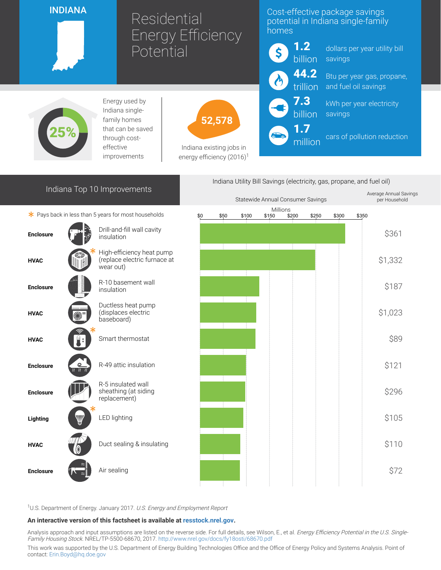### INDIANA

# Residential Energy Efficiency Potential

# Cost-effective package savings potential in Indiana single-family homes



million

dollars per year utility bill savings

Btu per year gas, propane, and fuel oil savings

kWh per year electricity savings

cars of pollution reduction



Energy used by Indiana singlefamily homes that can be saved through costeffective improvements



Indiana existing jobs in energy efficiency  $(2016)^1$ 

# Indiana Top 10 Improvements

 $*$  Pays back in less than 5 years for most households





<sup>1</sup>U.S. Department of Energy. January 2017. U.S. Energy and Employment Report

#### An interactive version of this factsheet is available at [resstock.nrel.gov.](https://resstock.nrel.gov/)

Analysis approach and input assumptions are listed on the reverse side. For full details, see Wilson, E., et al. Energy Efficiency Potential in the U.S. Single-Family Housing Stock. NREL/TP-5500-68670, 2017. <http://www.nrel.gov/docs/fy18osti/68670.pdf>

This work was supported by the U.S. Department of Energy Building Technologies Office and the Office of Energy Policy and Systems Analysis. Point of contact: [Erin.Boyd@hq.doe.gov](mailto:Erin.Boyd@hq.doe.gov)